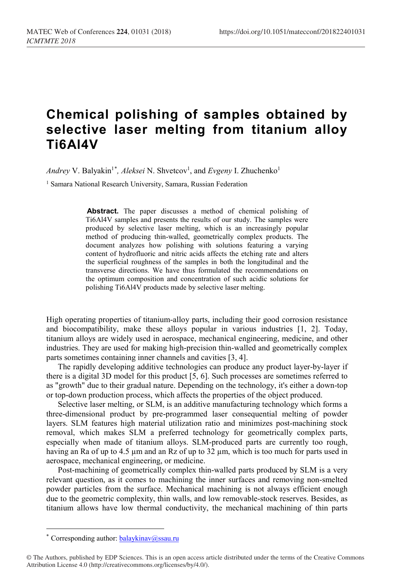## **Chemical polishing of samples obtained by selective laser melting from titanium alloy Ti6Al4V**

Andrey V. Balyakin<sup>1[\\*](#page-0-0)</sup>, Aleksei N. Shvetcov<sup>1</sup>, and Evgeny I. Zhuchenko<sup>1</sup>

<sup>1</sup> Samara National Research University, Samara, Russian Federation

**Abstract.** The paper discusses a method of chemical polishing of Ti6Al4V samples and presents the results of our study. The samples were produced by selective laser melting, which is an increasingly popular method of producing thin-walled, geometrically complex products. The document analyzes how polishing with solutions featuring a varying content of hydrofluoric and nitric acids affects the etching rate and alters the superficial roughness of the samples in both the longitudinal and the transverse directions. We have thus formulated the recommendations on the optimum composition and concentration of such acidic solutions for polishing Ti6Al4V products made by selective laser melting.

High operating properties of titanium-alloy parts, including their good corrosion resistance and biocompatibility, make these alloys popular in various industries [1, 2]. Today, titanium alloys are widely used in aerospace, mechanical engineering, medicine, and other industries. They are used for making high-precision thin-walled and geometrically complex parts sometimes containing inner channels and cavities [3, 4].

The rapidly developing additive technologies can produce any product layer-by-layer if there is a digital 3D model for this product [5, 6]. Such processes are sometimes referred to as "growth" due to their gradual nature. Depending on the technology, it's either a down-top or top-down production process, which affects the properties of the object produced.

Selective laser melting, or SLM, is an additive manufacturing technology which forms a three-dimensional product by pre-programmed laser consequential melting of powder layers. SLM features high material utilization ratio and minimizes post-machining stock removal, which makes SLM a preferred technology for geometrically complex parts, especially when made of titanium alloys. SLM-produced parts are currently too rough, having an Ra of up to 4.5  $\mu$ m and an Rz of up to 32  $\mu$ m, which is too much for parts used in aerospace, mechanical engineering, or medicine.

Post-machining of geometrically complex thin-walled parts produced by SLM is a very relevant question, as it comes to machining the inner surfaces and removing non-smelted powder particles from the surface. Mechanical machining is not always efficient enough due to the geometric complexity, thin walls, and low removable-stock reserves. Besides, as titanium allows have low thermal conductivity, the mechanical machining of thin parts

 $\overline{a}$ 

<sup>\*</sup> Corresponding author:  $balaykinav@ssau.ru$ 

<span id="page-0-0"></span><sup>©</sup> The Authors, published by EDP Sciences. This is an open access article distributed under the terms of the Creative Commons Attribution License 4.0 (http://creativecommons.org/licenses/by/4.0/).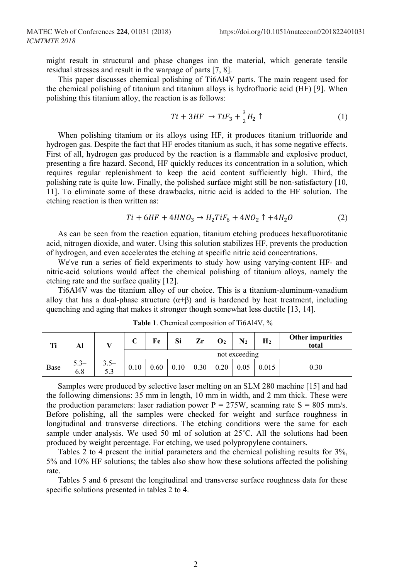might result in structural and phase changes inn the material, which generate tensile residual stresses and result in the warpage of parts [7, 8].

This paper discusses chemical polishing of Ti6Al4V parts. The main reagent used for the chemical polishing of titanium and titanium alloys is hydrofluoric acid (HF) [9]. When polishing this titanium alloy, the reaction is as follows:

$$
Ti + 3HF \rightarrow TiF_3 + \frac{3}{2}H_2 \uparrow
$$
 (1)

When polishing titanium or its alloys using HF, it produces titanium trifluoride and hydrogen gas. Despite the fact that HF erodes titanium as such, it has some negative effects. First of all, hydrogen gas produced by the reaction is a flammable and explosive product, presenting a fire hazard. Second, HF quickly reduces its concentration in a solution, which requires regular replenishment to keep the acid content sufficiently high. Third, the polishing rate is quite low. Finally, the polished surface might still be non-satisfactory [10, 11]. To eliminate some of these drawbacks, nitric acid is added to the HF solution. The etching reaction is then written as:

$$
Ti + 6HF + 4HNO_3 \to H_2TiF_6 + 4NO_2 \uparrow + 4H_2O \tag{2}
$$

As can be seen from the reaction equation, titanium etching produces hexafluorotitanic acid, nitrogen dioxide, and water. Using this solution stabilizes HF, prevents the production of hydrogen, and even accelerates the etching at specific nitric acid concentrations.

We've run a series of field experiments to study how using varying-content HF- and nitric-acid solutions would affect the chemical polishing of titanium alloys, namely the etching rate and the surface quality [12].

Ti6Al4V was the titanium alloy of our choice. This is a titanium-aluminum-vanadium alloy that has a dual-phase structure  $(\alpha+\beta)$  and is hardened by heat treatment, including quenching and aging that makes it stronger though somewhat less ductile [13, 14].

| Тi   | Al            |               | ⌒<br>◡ | Fe   | Si   | Zr   | О2   | $\bf{N}_2$    | H <sub>2</sub> | <b>Other impurities</b><br>total |
|------|---------------|---------------|--------|------|------|------|------|---------------|----------------|----------------------------------|
|      |               |               |        |      |      |      |      | not exceeding |                |                                  |
| Base | $5.3-$<br>6.8 | $3.5-$<br>5.3 | 0.10   | 0.60 | 0.10 | 0.30 | 0.20 |               | 0.015          | 0.30                             |

**Table 1**. Chemical composition of Ti6Al4V, %

Samples were produced by selective laser melting on an SLM 280 machine [15] and had the following dimensions: 35 mm in length, 10 mm in width, and 2 mm thick. These were the production parameters: laser radiation power  $P = 275W$ , scanning rate  $S = 805$  mm/s. Before polishing, all the samples were checked for weight and surface roughness in longitudinal and transverse directions. The etching conditions were the same for each sample under analysis. We used 50 ml of solution at 25°C. All the solutions had been produced by weight percentage. For etching, we used polypropylene containers.

Tables 2 to 4 present the initial parameters and the chemical polishing results for 3%, 5% and 10% HF solutions; the tables also show how these solutions affected the polishing rate.

Tables 5 and 6 present the longitudinal and transverse surface roughness data for these specific solutions presented in tables 2 to 4.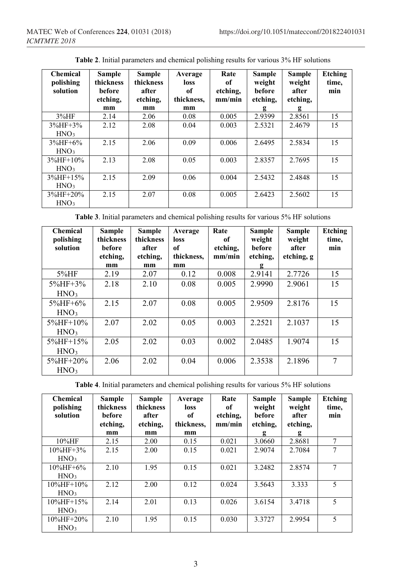| <b>Chemical</b><br>polishing<br>solution | <b>Sample</b><br>thickness<br>before<br>etching,<br>mm | <b>Sample</b><br>thickness<br>after<br>etching,<br>mm | Average<br>loss<br>of<br>thickness,<br>mm | Rate<br>of<br>etching,<br>mm/min | <b>Sample</b><br>weight<br><b>before</b><br>etching.<br>g | <b>Sample</b><br>weight<br>after<br>etching,<br>g | Etching<br>time,<br>min |
|------------------------------------------|--------------------------------------------------------|-------------------------------------------------------|-------------------------------------------|----------------------------------|-----------------------------------------------------------|---------------------------------------------------|-------------------------|
| 3%HF                                     | 2.14                                                   | 2.06                                                  | 0.08                                      | 0.005                            | 2.9399                                                    | 2.8561                                            | 15                      |
| $3\%$ HF+3 $\%$                          | 2.12                                                   | 2.08                                                  | 0.04                                      | 0.003                            | 2.5321                                                    | 2.4679                                            | 15                      |
| HNO <sub>3</sub>                         |                                                        |                                                       |                                           |                                  |                                                           |                                                   |                         |
| $3\%$ HF+6%                              | 2.15                                                   | 2.06                                                  | 0.09                                      | 0.006                            | 2.6495                                                    | 2.5834                                            | 15                      |
| HNO <sub>3</sub>                         |                                                        |                                                       |                                           |                                  |                                                           |                                                   |                         |
| $3\%$ HF+10%                             | 2.13                                                   | 2.08                                                  | 0.05                                      | 0.003                            | 2.8357                                                    | 2.7695                                            | 15                      |
| HNO <sub>3</sub>                         |                                                        |                                                       |                                           |                                  |                                                           |                                                   |                         |
| $3\%$ HF+15%                             | 2.15                                                   | 2.09                                                  | 0.06                                      | 0.004                            | 2.5432                                                    | 2.4848                                            | 15                      |
| HNO <sub>3</sub>                         |                                                        |                                                       |                                           |                                  |                                                           |                                                   |                         |
| $3\%$ HF+20%                             | 2.15                                                   | 2.07                                                  | 0.08                                      | 0.005                            | 2.6423                                                    | 2.5602                                            | 15                      |
| HNO <sub>3</sub>                         |                                                        |                                                       |                                           |                                  |                                                           |                                                   |                         |

**Table 2**. Initial parameters and chemical polishing results for various 3% HF solutions

**Table 3**. Initial parameters and chemical polishing results for various 5% HF solutions

| <b>Chemical</b><br>polishing<br>solution | Sample<br>thickness<br><b>before</b> | <b>Sample</b><br>thickness<br>after | Average<br>loss<br>of | Rate<br>оf<br>etching, | <b>Sample</b><br>weight<br>before | <b>Sample</b><br>weight<br>after | Etching<br>time,<br>min |
|------------------------------------------|--------------------------------------|-------------------------------------|-----------------------|------------------------|-----------------------------------|----------------------------------|-------------------------|
|                                          | etching,<br>mm                       | etching.<br>mm                      | thickness.<br>mm      | mm/min                 | etching,<br>g                     | etching, g                       |                         |
| 5%HF                                     | 2.19                                 | 2.07                                | 0.12                  | 0.008                  | 2.9141                            | 2.7726                           | 15                      |
| $5\%$ HF+3 $\%$                          | 2.18                                 | 2.10                                | 0.08                  | 0.005                  | 2.9990                            | 2.9061                           | 15                      |
| HNO <sub>3</sub>                         |                                      |                                     |                       |                        |                                   |                                  |                         |
| $5\%$ HF+6%                              | 2.15                                 | 2.07                                | 0.08                  | 0.005                  | 2.9509                            | 2.8176                           | 15                      |
| HNO <sub>3</sub>                         |                                      |                                     |                       |                        |                                   |                                  |                         |
| $5\%$ HF+10\%                            | 2.07                                 | 2.02                                | 0.05                  | 0.003                  | 2.2521                            | 2.1037                           | 15                      |
| HNO <sub>3</sub>                         |                                      |                                     |                       |                        |                                   |                                  |                         |
| $5\%$ HF+15%                             | 2.05                                 | 2.02                                | 0.03                  | 0.002                  | 2.0485                            | 1.9074                           | 15                      |
| HNO <sub>3</sub>                         |                                      |                                     |                       |                        |                                   |                                  |                         |
| 5%HF+20%                                 | 2.06                                 | 2.02                                | 0.04                  | 0.006                  | 2.3538                            | 2.1896                           | 7                       |
| HNO <sub>3</sub>                         |                                      |                                     |                       |                        |                                   |                                  |                         |

**Table 4**. Initial parameters and chemical polishing results for various 5% HF solutions

| <b>Chemical</b><br>polishing<br>solution | <b>Sample</b><br>thickness<br><b>before</b> | <b>Sample</b><br>thickness<br>after | Average<br>loss<br>of | Rate<br>of<br>etching. | <b>Sample</b><br>weight<br>before | Sample<br>weight<br>after | Etching<br>time,<br>min |
|------------------------------------------|---------------------------------------------|-------------------------------------|-----------------------|------------------------|-----------------------------------|---------------------------|-------------------------|
|                                          | etching,                                    | etching,                            | thickness,            | mm/min                 | etching,                          | etching,                  |                         |
|                                          | mm                                          | mm                                  | mm                    |                        | g                                 | g                         |                         |
| $10\%$ HF                                | 2.15                                        | 2.00                                | 0.15                  | 0.021                  | 3.0660                            | 2.8681                    | 7                       |
| $10\%$ HF+3%                             | 2.15                                        | 2.00                                | 0.15                  | 0.021                  | 2.9074                            | 2.7084                    | 7                       |
| HNO <sub>3</sub>                         |                                             |                                     |                       |                        |                                   |                           |                         |
| $10\%$ HF+6%                             | 2.10                                        | 1.95                                | 0.15                  | 0.021                  | 3.2482                            | 2.8574                    | 7                       |
| HNO <sub>3</sub>                         |                                             |                                     |                       |                        |                                   |                           |                         |
| $10\%$ HF+ $10\%$                        | 2.12                                        | 2.00                                | 0.12                  | 0.024                  | 3.5643                            | 3.333                     | 5                       |
| HNO <sub>3</sub>                         |                                             |                                     |                       |                        |                                   |                           |                         |
| 10%HF+15%                                | 2.14                                        | 2.01                                | 0.13                  | 0.026                  | 3.6154                            | 3.4718                    | 5                       |
| HNO <sub>3</sub>                         |                                             |                                     |                       |                        |                                   |                           |                         |
| 10%HF+20%                                | 2.10                                        | 1.95                                | 0.15                  | 0.030                  | 3.3727                            | 2.9954                    | 5                       |
| HNO <sub>3</sub>                         |                                             |                                     |                       |                        |                                   |                           |                         |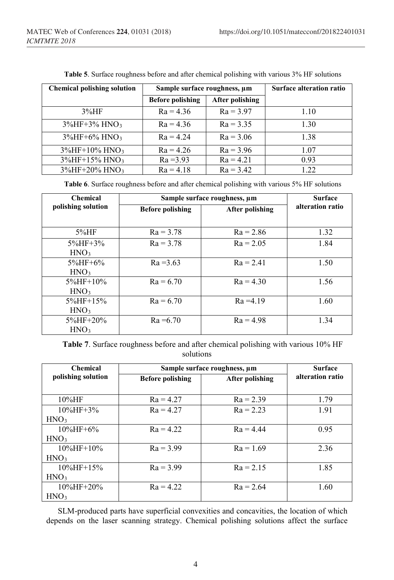| <b>Chemical polishing solution</b> | Sample surface roughness, um |                 | <b>Surface alteration ratio</b> |
|------------------------------------|------------------------------|-----------------|---------------------------------|
|                                    | <b>Before polishing</b>      | After polishing |                                 |
| 3%HF                               | $Ra = 4.36$                  | $Ra = 3.97$     | 1.10                            |
| $3\%$ HF+3% HNO <sub>3</sub>       | $Ra = 4.36$                  | $Ra = 3.35$     | 1.30                            |
| $3\%$ HF+6% HNO <sub>3</sub>       | $Ra = 4.24$                  | $Ra = 3.06$     | 1.38                            |
| $3\%$ HF+10% HNO <sub>3</sub>      | $Ra = 4.26$                  | $Ra = 3.96$     | 1.07                            |
| $3\%$ HF+15% HNO <sub>3</sub>      | $Ra = 3.93$                  | $Ra = 4.21$     | 0.93                            |
| $3\%$ HF+20% HNO <sub>3</sub>      | $Ra = 4.18$                  | $Ra = 3.42$     | 1.22.                           |

**Table 5**. Surface roughness before and after chemical polishing with various 3% HF solutions

**Table 6**. Surface roughness before and after chemical polishing with various 5% HF solutions

| <b>Chemical</b>    | Sample surface roughness, um | <b>Surface</b>         |                  |  |
|--------------------|------------------------------|------------------------|------------------|--|
| polishing solution | <b>Before polishing</b>      | <b>After polishing</b> | alteration ratio |  |
|                    |                              |                        |                  |  |
| $5\%$ HF           | $Ra = 3.78$                  | $Ra = 2.86$            | 1.32             |  |
| $5\%$ HF+3 $\%$    | $Ra = 3.78$                  | $Ra = 2.05$            | 1.84             |  |
| HNO <sub>3</sub>   |                              |                        |                  |  |
| $5\%$ HF+6%        | $Ra = 3.63$                  | $Ra = 2.41$            | 1.50             |  |
| HNO <sub>3</sub>   |                              |                        |                  |  |
| $5\%$ HF+10\%      | $Ra = 6.70$                  | $Ra = 4.30$            | 1.56             |  |
| HNO <sub>3</sub>   |                              |                        |                  |  |
| $5\%$ HF+15\%      | $Ra = 6.70$                  | $Ra = 4.19$            | 1.60             |  |
| HNO <sub>3</sub>   |                              |                        |                  |  |
| $5\%$ HF+20%       | $Ra = 6.70$                  | $Ra = 4.98$            | 1.34             |  |
| HNO <sub>3</sub>   |                              |                        |                  |  |

**Table 7**. Surface roughness before and after chemical polishing with various 10% HF solutions

| <b>Chemical</b>    | Sample surface roughness, um | <b>Surface</b>  |                  |
|--------------------|------------------------------|-----------------|------------------|
| polishing solution | <b>Before polishing</b>      | After polishing | alteration ratio |
|                    |                              |                 |                  |
| $10\%$ HF          | $Ra = 4.27$                  | $Ra = 2.39$     | 1.79             |
| $10\%$ HF+3\%      | $Ra = 4.27$                  | $Ra = 2.23$     | 1.91             |
| HNO <sub>3</sub>   |                              |                 |                  |
| $10\%$ HF+6%       | $Ra = 4.22$                  | $Ra = 4.44$     | 0.95             |
| HNO <sub>3</sub>   |                              |                 |                  |
| $10\%$ HF+ $10\%$  | $Ra = 3.99$                  | $Ra = 1.69$     | 2.36             |
| HNO <sub>3</sub>   |                              |                 |                  |
| $10\%$ HF+15\%     | $Ra = 3.99$                  | $Ra = 2.15$     | 1.85             |
| HNO <sub>3</sub>   |                              |                 |                  |
| $10\%$ HF+20%      | $Ra = 4.22$                  | $Ra = 2.64$     | 1.60             |
| HNO <sub>3</sub>   |                              |                 |                  |

SLM-produced parts have superficial convexities and concavities, the location of which depends on the laser scanning strategy. Chemical polishing solutions affect the surface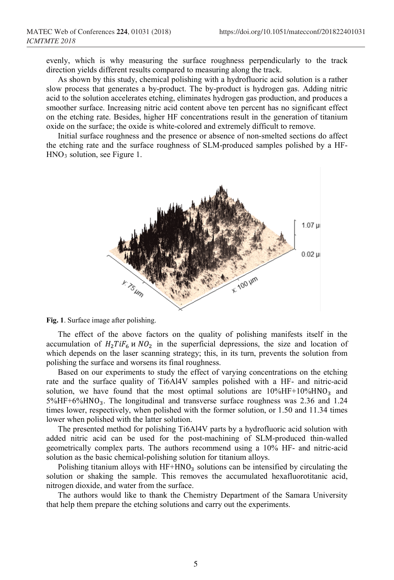evenly, which is why measuring the surface roughness perpendicularly to the track direction yields different results compared to measuring along the track.

As shown by this study, chemical polishing with a hydrofluoric acid solution is a rather slow process that generates a by-product. The by-product is hydrogen gas. Adding nitric acid to the solution accelerates etching, eliminates hydrogen gas production, and produces a smoother surface. Increasing nitric acid content above ten percent has no significant effect on the etching rate. Besides, higher HF concentrations result in the generation of titanium oxide on the surface; the oxide is white-colored and extremely difficult to remove.

Initial surface roughness and the presence or absence of non-smelted sections do affect the etching rate and the surface roughness of SLM-produced samples polished by a HF-HNO3 solution, see Figure 1.



**Fig. 1**. Surface image after polishing.

The effect of the above factors on the quality of polishing manifests itself in the accumulation of  $H_2 T i F_6$  *u*  $NO_2$  in the superficial depressions, the size and location of which depends on the laser scanning strategy; this, in its turn, prevents the solution from polishing the surface and worsens its final roughness.

Based on our experiments to study the effect of varying concentrations on the etching rate and the surface quality of Ti6Al4V samples polished with a HF- and nitric-acid solution, we have found that the most optimal solutions are  $10\%$ HF+10%HNO<sub>3</sub> and  $5\%$ HF+6%HNO<sub>3</sub>. The longitudinal and transverse surface roughness was 2.36 and 1.24 times lower, respectively, when polished with the former solution, or 1.50 and 11.34 times lower when polished with the latter solution.

The presented method for polishing Ti6Al4V parts by a hydrofluoric acid solution with added nitric acid can be used for the post-machining of SLM-produced thin-walled geometrically complex parts. The authors recommend using a 10% HF- and nitric-acid solution as the basic chemical-polishing solution for titanium alloys.

Polishing titanium alloys with  $HF+HNO<sub>3</sub>$  solutions can be intensified by circulating the solution or shaking the sample. This removes the accumulated hexafluorotitanic acid, nitrogen dioxide, and water from the surface.

The authors would like to thank the Chemistry Department of the Samara University that help them prepare the etching solutions and carry out the experiments.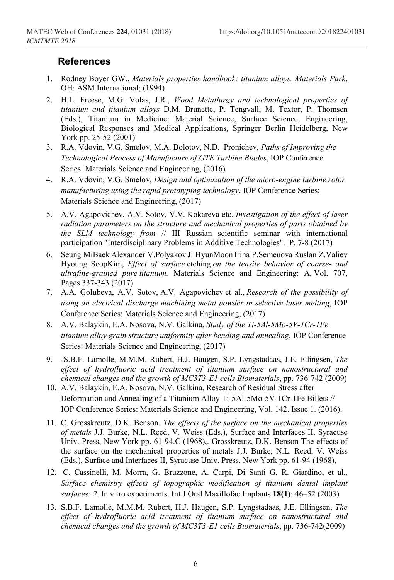## **References**

- 1. Rodney Boyer GW., *Materials properties handbook: titanium alloys. Materials Park*, OH: ASM International; (1994)
- 2. H.L. Freese, M.G. Volas, J.R., *Wood Metallurgy and technological properties of titanium and titanium alloys* D.M. Brunette, P. Tengvall, M. Textor, P. Thomsen (Eds.), Titanium in Medicine: Material Science, Surface Science, Engineering, Biological Responses and Medical Applications, Springer Berlin Heidelberg, New York pp. 25-52 (2001)
- 3. R.A. Vdovin, V.G. Smelov, M.A. Bolotov, N.D. Pronichev, *Paths of Improving the Technological Process of Manufacture of GTE Turbine Blades*, IOP Conference Series: Materials Science and Engineering, (2016)
- 4. R.A. Vdovin, V.G. Smelov, *Design and optimization of the micro-engine turbine rotor manufacturing using the rapid prototyping technology*, IOP Conference Series: Materials Science and Engineering, (2017)
- 5. A.V. Agapovichev, A.V. Sotov, V.V. Kokareva etc. *Investigation of the effect of laser radiation parameters on the structure and mechanical properties of parts obtained bv the SLM technology from* // III Russian scientific seminar with international participation "Interdisciplinary Problems in Additive Technologies". P. 7-8 (2017)
- 6. [Seung MiBaek](http://www.sciencedirect.com/science/article/pii/S0921509317312248#!) [Alexander V.Polyakov](http://www.sciencedirect.com/science/article/pii/S0921509317312248#!) [Ji HyunMoon](http://www.sciencedirect.com/science/article/pii/S0921509317312248#!) [Irina P.Semenova](http://www.sciencedirect.com/science/article/pii/S0921509317312248#!) [Ruslan Z.Valiev](http://www.sciencedirect.com/science/article/pii/S0921509317312248#!) [Hyoung SeopKim,](http://www.sciencedirect.com/science/article/pii/S0921509317312248#!) *Effect of surface* etching *on the tensile behavior of coarse- and ultrafine-grained pure titanium.* Materials Science and Engineering: A, Vol. 707, Pages 337-343 (2017)
- 7. A.A. Golubeva, A.V. Sotov, A.V. Agapovichev et al., *Research of the possibility of using an electrical discharge machining metal powder in selective laser melting*, IOP Conference Series: Materials Science and Engineering, (2017)
- 8. A.V. Balaykin, E.A. Nosova, N.V. Galkina, *Study of the Ti-5Al-5Mo-5V-1Cr-1Fe titanium alloy grain structure uniformity after bending and annealing*, IOP Conference Series: Materials Science and Engineering, (2017)
- 9. -S.B.F. Lamolle, M.M.M. Rubert, H.J. Haugen, S.P. Lyngstadaas, J.E. Ellingsen, *The effect of hydrofluoric acid treatment of titanium surface on nanostructural and chemical changes and the growth of MC3T3-E1 cells Biomaterials*, pp. 736-742 (2009)
- 10. A.V. Balaykin, E.A. Nosova, N.V. Galkina, Research of Residual Stress after Deformation and Annealing of a Titanium Alloy Ti-5Al-5Mo-5V-1Cr-1Fe Billets // IOP Conference Series: Materials Science and Engineering, Vol. 142. Issue 1. (2016).
- 11. C. Grosskreutz, D.K. Benson, *The effects of the surface on the mechanical properties of metals* J.J. Burke, N.L. Reed, V. Weiss (Eds.), Surface and Interfaces ΙΙ, Syracuse Univ. Press, New York pp. 61-94.C (1968),. Grosskreutz, D.K. Benson The effects of the surface on the mechanical properties of metals J.J. Burke, N.L. Reed, V. Weiss (Eds.), Surface and Interfaces ΙΙ, Syracuse Univ. Press, New York pp. 61-94 (1968),
- 12. C. Cassinelli, M. Morra, G. Bruzzone, A. Carpi, Di Santi G, R. Giardino, et al., *Surface chemistry effects of topographic modification of titanium dental implant surfaces: 2*. In vitro experiments. Int J Oral Maxillofac Implants **18(1)**: 46–52 (2003)
- 13. S.B.F. Lamolle, M.M.M. Rubert, H.J. Haugen, S.P. Lyngstadaas, J.E. Ellingsen, *The effect of hydrofluoric acid treatment of titanium surface on nanostructural and chemical changes and the growth of MC3T3-E1 cells Biomaterials*, pp. 736-742(2009)